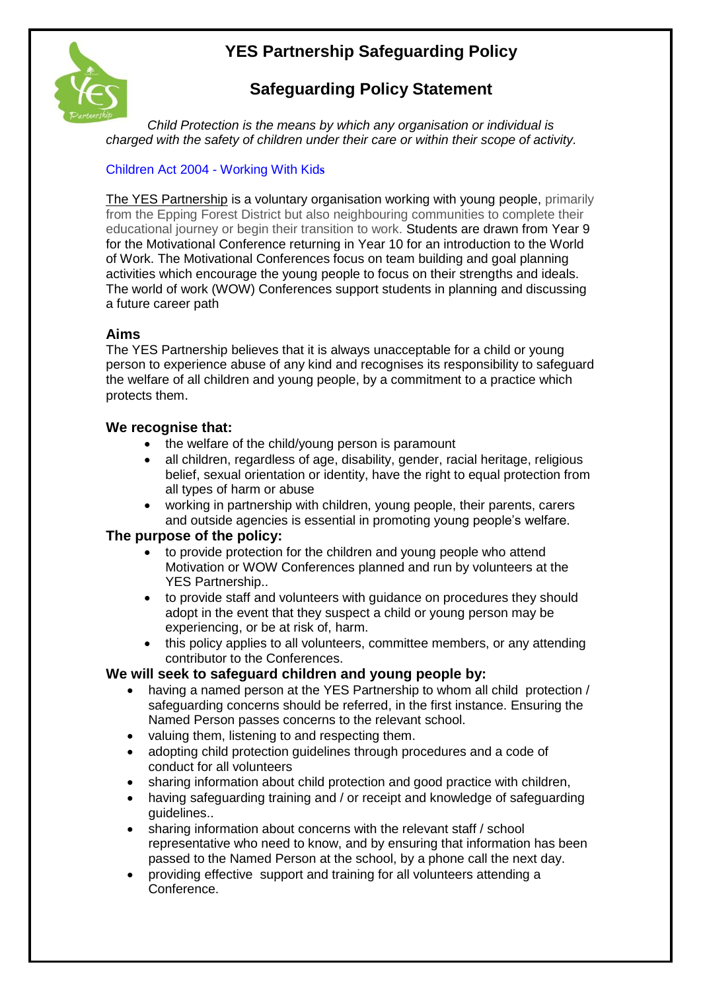# **YES Partnership Safeguarding Policy**



## **Safeguarding Policy Statement**

*Child Protection is the means by which any organisation or individual is charged with the safety of children under their care or within their scope of activity.*

### [Children Act 2004 -](https://www.google.co.uk/url?sa=t&rct=j&q=&esrc=s&source=web&cd=2&ved=0ahUKEwiY2JW0wMTTAhWrAsAKHQGSCiUQFgg8MAE&url=http%3A%2F%2Fwww.workingwithkids.co.uk%2Fchildrens-act.html&usg=AFQjCNFiPEkZlJmBnOZ1q__OLoRTQ2a9BA&sig2=Z2YlPVhGppKBqjpryy671w&cad=rja) Working With Kid**s**

The YES Partnership is a voluntary organisation working with young people, primarily from the Epping Forest District but also neighbouring communities to complete their educational journey or begin their transition to work. Students are drawn from Year 9 for the Motivational Conference returning in Year 10 for an introduction to the World of Work. The Motivational Conferences focus on team building and goal planning activities which encourage the young people to focus on their strengths and ideals. The world of work (WOW) Conferences support students in planning and discussing a future career path

#### **Aims**

The YES Partnership believes that it is always unacceptable for a child or young person to experience abuse of any kind and recognises its responsibility to safeguard the welfare of all children and young people, by a commitment to a practice which protects them.

#### **We recognise that:**

- the welfare of the child/young person is paramount
- all children, regardless of age, disability, gender, racial heritage, religious belief, sexual orientation or identity, have the right to equal protection from all types of harm or abuse
- working in partnership with children, young people, their parents, carers and outside agencies is essential in promoting young people's welfare.

#### **The purpose of the policy:**

- to provide protection for the children and young people who attend Motivation or WOW Conferences planned and run by volunteers at the YES Partnership..
- to provide staff and volunteers with guidance on procedures they should adopt in the event that they suspect a child or young person may be experiencing, or be at risk of, harm.
- this policy applies to all volunteers, committee members, or any attending contributor to the Conferences.

#### **We will seek to safeguard children and young people by:**

- having a named person at the YES Partnership to whom all child protection / safeguarding concerns should be referred, in the first instance. Ensuring the Named Person passes concerns to the relevant school.
- valuing them, listening to and respecting them.
- adopting child protection guidelines through procedures and a code of conduct for all volunteers
- sharing information about child protection and good practice with children,
- having safeguarding training and / or receipt and knowledge of safeguarding guidelines..
- sharing information about concerns with the relevant staff / school representative who need to know, and by ensuring that information has been passed to the Named Person at the school, by a phone call the next day.
- providing effective support and training for all volunteers attending a Conference.